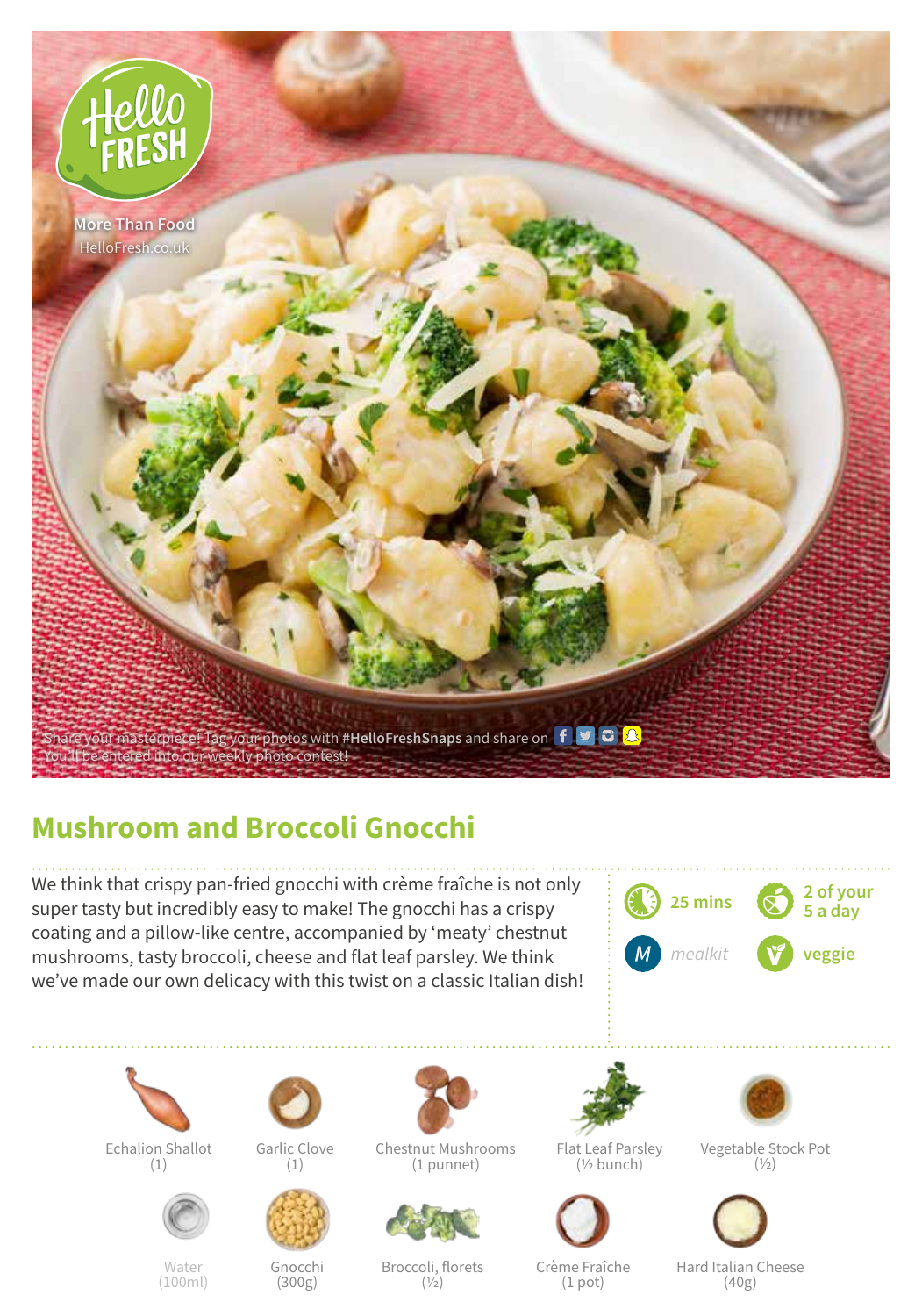

## **Mushroom and Broccoli Gnocchi**

We think that crispy pan-fried gnocchi with crème fraîche is not only super tasty but incredibly easy to make! The gnocchi has a crispy coating and a pillow-like centre, accompanied by 'meaty' chestnut mushrooms, tasty broccoli, cheese and flat leaf parsley. We think we've made our own delicacy with this twist on a classic Italian dish!





Echalion Shallot (1)



Water (100ml)



Gnocchi (300g)

Chestnut Mushrooms  $(1)$ 



(1 punnet)

Broccoli, florets  $(1/2)$ 



Flat Leaf Parsley (½ bunch)



Crème Fraîche (1 pot)

Vegetable Stock Pot  $(1/2)$ 



Hard Italian Cheese (40g)